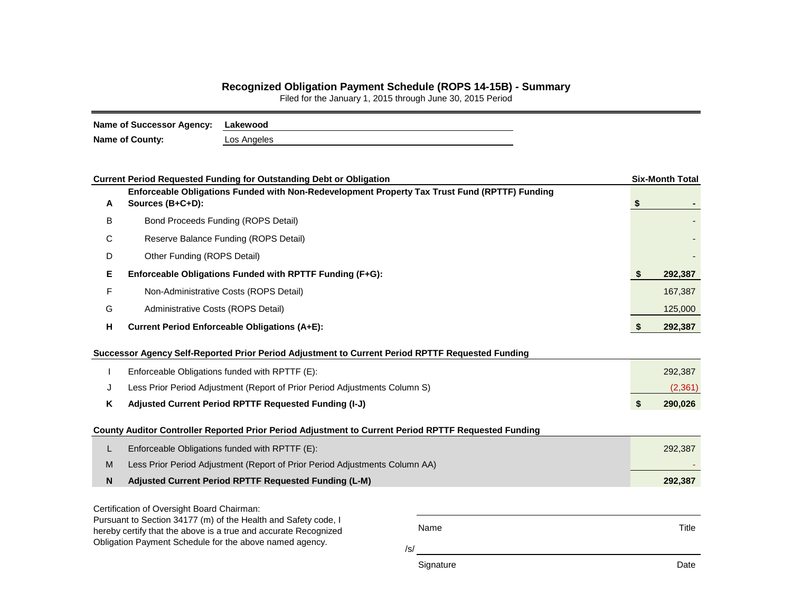## **Recognized Obligation Payment Schedule (ROPS 14-15B) - Summary**

Filed for the January 1, 2015 through June 30, 2015 Period

| Name of Successor Agency: Lakewood |             |
|------------------------------------|-------------|
| <b>Name of County:</b>             | Los Angeles |

|                                                                                                                                                                                                                    | <b>Current Period Requested Funding for Outstanding Debt or Obligation</b>                                        |  |  |         |  |  |  |  |
|--------------------------------------------------------------------------------------------------------------------------------------------------------------------------------------------------------------------|-------------------------------------------------------------------------------------------------------------------|--|--|---------|--|--|--|--|
| A                                                                                                                                                                                                                  | Enforceable Obligations Funded with Non-Redevelopment Property Tax Trust Fund (RPTTF) Funding<br>Sources (B+C+D): |  |  |         |  |  |  |  |
| B                                                                                                                                                                                                                  | Bond Proceeds Funding (ROPS Detail)                                                                               |  |  |         |  |  |  |  |
| С                                                                                                                                                                                                                  | Reserve Balance Funding (ROPS Detail)                                                                             |  |  |         |  |  |  |  |
| D                                                                                                                                                                                                                  | Other Funding (ROPS Detail)                                                                                       |  |  |         |  |  |  |  |
| Е                                                                                                                                                                                                                  | Enforceable Obligations Funded with RPTTF Funding (F+G):                                                          |  |  |         |  |  |  |  |
| F                                                                                                                                                                                                                  | Non-Administrative Costs (ROPS Detail)                                                                            |  |  |         |  |  |  |  |
| G                                                                                                                                                                                                                  | Administrative Costs (ROPS Detail)                                                                                |  |  |         |  |  |  |  |
| н                                                                                                                                                                                                                  | <b>Current Period Enforceable Obligations (A+E):</b>                                                              |  |  |         |  |  |  |  |
|                                                                                                                                                                                                                    | Successor Agency Self-Reported Prior Period Adjustment to Current Period RPTTF Requested Funding                  |  |  |         |  |  |  |  |
|                                                                                                                                                                                                                    | Enforceable Obligations funded with RPTTF (E):                                                                    |  |  | 292,387 |  |  |  |  |
| J                                                                                                                                                                                                                  | Less Prior Period Adjustment (Report of Prior Period Adjustments Column S)                                        |  |  |         |  |  |  |  |
| Κ                                                                                                                                                                                                                  | Adjusted Current Period RPTTF Requested Funding (I-J)                                                             |  |  |         |  |  |  |  |
|                                                                                                                                                                                                                    | County Auditor Controller Reported Prior Period Adjustment to Current Period RPTTF Requested Funding              |  |  |         |  |  |  |  |
| L                                                                                                                                                                                                                  | Enforceable Obligations funded with RPTTF (E):                                                                    |  |  |         |  |  |  |  |
| M                                                                                                                                                                                                                  | Less Prior Period Adjustment (Report of Prior Period Adjustments Column AA)                                       |  |  |         |  |  |  |  |
| N                                                                                                                                                                                                                  | Adjusted Current Period RPTTF Requested Funding (L-M)                                                             |  |  | 292,387 |  |  |  |  |
| Certification of Oversight Board Chairman:                                                                                                                                                                         |                                                                                                                   |  |  |         |  |  |  |  |
| Pursuant to Section 34177 (m) of the Health and Safety code, I<br>Name<br>hereby certify that the above is a true and accurate Recognized<br>Obligation Payment Schedule for the above named agency.<br>$\sqrt{s}$ |                                                                                                                   |  |  | Title   |  |  |  |  |

Signature Date Date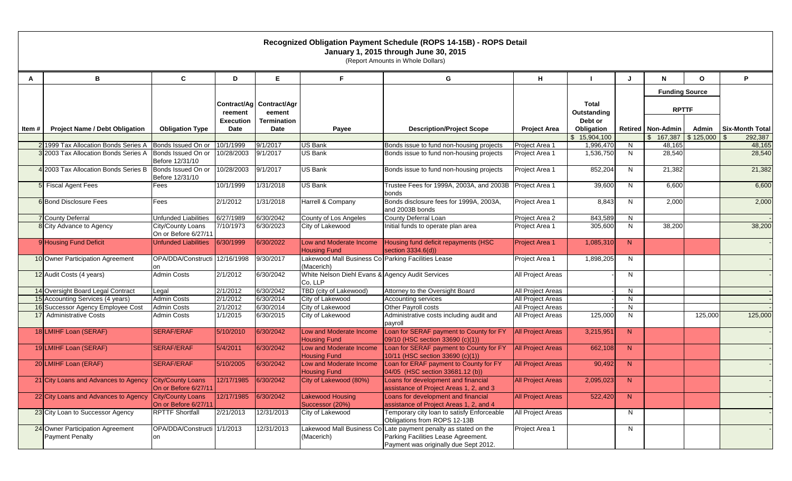|        |                                                            |                                           |                          |                                      |                                                                  | Recognized Obligation Payment Schedule (ROPS 14-15B) - ROPS Detail<br>January 1, 2015 through June 30, 2015<br>(Report Amounts in Whole Dollars) |                          |                             |              |                       |              |                 |
|--------|------------------------------------------------------------|-------------------------------------------|--------------------------|--------------------------------------|------------------------------------------------------------------|--------------------------------------------------------------------------------------------------------------------------------------------------|--------------------------|-----------------------------|--------------|-----------------------|--------------|-----------------|
| A      | в                                                          | С                                         | D                        | Е                                    | F.                                                               | G                                                                                                                                                | н                        |                             | J            | N                     | $\mathbf{o}$ | P               |
|        |                                                            |                                           |                          |                                      |                                                                  |                                                                                                                                                  |                          |                             |              | <b>Funding Source</b> |              |                 |
|        |                                                            |                                           | reement                  | Contract/Ag   Contract/Agr<br>eement |                                                                  |                                                                                                                                                  |                          | <b>Total</b><br>Outstanding |              | <b>RPTTF</b>          |              |                 |
| ltem # | <b>Project Name / Debt Obligation</b>                      | <b>Obligation Type</b>                    | <b>Execution</b><br>Date | <b>Termination</b><br>Date           | Payee                                                            | <b>Description/Project Scope</b>                                                                                                                 | <b>Project Area</b>      | Debt or<br>Obligation       |              | Retired   Non-Admin   | Admin        | Six-Month Total |
|        |                                                            |                                           |                          |                                      |                                                                  |                                                                                                                                                  |                          | \$15,904,100                |              | $$167,387$ $$125,000$ |              | 292,387<br>\$   |
|        | 2 1999 Tax Allocation Bonds Series A                       | Bonds Issued On or                        | 10/1/1999                | 9/1/2017                             | <b>US Bank</b>                                                   | Bonds issue to fund non-housing projects                                                                                                         | Project Area 1           | 1,996,470                   | N            | 48,165                |              | 48,165          |
|        | 3 2003 Tax Allocation Bonds Series A                       | Bonds Issued On or<br>Before 12/31/10     | 10/28/2003               | 9/1/2017                             | <b>US Bank</b>                                                   | Bonds issue to fund non-housing projects                                                                                                         | Project Area 1           | 1,536,750                   | N            | 28,540                |              | 28,540          |
|        | 4 2003 Tax Allocation Bonds Series B                       | Bonds Issued On or<br>Before 12/31/10     | 10/28/2003               | 9/1/2017                             | <b>US Bank</b>                                                   | Bonds issue to fund non-housing projects                                                                                                         | Project Area 1           | 852,204                     | N            | 21,382                |              | 21,382          |
|        | 5 Fiscal Agent Fees                                        | Fees                                      | 10/1/1999                | 1/31/2018                            | <b>US Bank</b>                                                   | Trustee Fees for 1999A, 2003A, and 2003B Project Area 1<br>bonds                                                                                 |                          | 39,600                      | N            | 6,600                 |              | 6,600           |
|        | 6 Bond Disclosure Fees                                     | Fees                                      | 2/1/2012                 | 1/31/2018                            | Harrell & Company                                                | Bonds disclosure fees for 1999A, 2003A,<br>and 2003B bonds                                                                                       | Project Area 1           | 8,843                       | N            | 2,000                 |              | 2,000           |
|        | 7 County Deferral                                          | <b>Unfunded Liabilities</b>               | 6/27/1989                | 6/30/2042                            | County of Los Angeles                                            | County Deferral Loan                                                                                                                             | Project Area 2           | 843,589                     | N            |                       |              |                 |
|        | 8 City Advance to Agency                                   | City/County Loans<br>On or Before 6/27/11 | 7/10/1973                | 6/30/2023                            | City of Lakewood                                                 | Initial funds to operate plan area                                                                                                               | Project Area 1           | 305,600                     | N            | 38,200                |              | 38,200          |
|        | 9 Housing Fund Deficit                                     | <b>Unfunded Liabilities</b>               | 6/30/1999                | 6/30/2022                            | Low and Moderate Income<br><b>Housing Fund</b>                   | Housing fund deficit repayments (HSC<br>section 3334.6(d))                                                                                       | Project Area 1           | 1,085,310                   | N            |                       |              |                 |
|        | 10 Owner Participation Agreement                           | OPA/DDA/Constructi<br>on                  | 12/16/1998               | 9/30/2017                            | Lakewood Mall Business Co Parking Facilities Lease<br>(Macerich) |                                                                                                                                                  | Project Area 1           | 1,898,205                   | N            |                       |              |                 |
|        | 12 Audit Costs (4 years)                                   | <b>Admin Costs</b>                        | 2/1/2012                 | 6/30/2042                            | White Nelson Diehl Evans & Agency Audit Services<br>Co, LLP      |                                                                                                                                                  | All Project Areas        |                             | N.           |                       |              |                 |
|        | 14 Oversight Board Legal Contract                          | Legal                                     | 2/1/2012                 | 6/30/2042                            | TBD (city of Lakewood)                                           | Attorney to the Oversight Board                                                                                                                  | <b>All Project Areas</b> |                             | N            |                       |              |                 |
|        | 15 Accounting Services (4 years)                           | <b>Admin Costs</b>                        | 2/1/2012                 | 6/30/2014                            | City of Lakewood                                                 | Accounting services                                                                                                                              | All Project Areas        |                             | N            |                       |              |                 |
|        | 16 Successor Agency Employee Cost                          | <b>Admin Costs</b>                        | 2/1/2012                 | 6/30/2014                            | City of Lakewood                                                 | <b>All Project Areas</b><br>Other Payroll costs                                                                                                  |                          |                             | $\mathsf{N}$ |                       |              |                 |
|        | 17 Administrative Costs                                    | <b>Admin Costs</b>                        | 1/1/2015                 | 6/30/2015                            | City of Lakewood                                                 | Administrative costs including audit and<br>payroll                                                                                              | All Project Areas        | 125,000                     | N            |                       | 125,000      | 125,000         |
|        | 18 LMIHF Loan (SERAF)                                      | SERAF/ERAF                                | 5/10/2010                | 6/30/2042                            | Low and Moderate Income<br><b>Housing Fund</b>                   | Loan for SERAF payment to County for FY<br>09/10 (HSC section 33690 (c)(1))                                                                      | <b>All Project Areas</b> | 3,215,951                   | N            |                       |              |                 |
|        | 19 LMIHF Loan (SERAF)                                      | SERAF/ERAF                                | 5/4/2011                 | 6/30/2042                            | Low and Moderate Income<br><b>Housing Fund</b>                   | Loan for SERAF payment to County for FY<br>10/11 (HSC section 33690 (c)(1))                                                                      | <b>All Project Areas</b> | 662,108                     | N            |                       |              |                 |
|        | 20 LMIHF Loan (ERAF)                                       | SERAF/ERAF                                | 5/10/2005                | 6/30/2042                            | Low and Moderate Income<br><b>Housing Fund</b>                   | Loan for ERAF payment to County for FY<br>04/05 (HSC section 33681.12 (b))                                                                       | <b>All Project Areas</b> | 90,492                      | N            |                       |              |                 |
|        | 21 City Loans and Advances to Agency City/County Loans     | On or Before 6/27/11                      | 12/17/1985 6/30/2042     |                                      | City of Lakewood (80%)                                           | Loans for development and financial<br>assistance of Project Areas 1, 2, and 3                                                                   | <b>All Project Areas</b> | 2,095,023                   | N            |                       |              |                 |
|        | 22 City Loans and Advances to Agency City/County Loans     | On or Before 6/27/11                      | 12/17/1985               | 6/30/2042                            | Lakewood Housing<br>Successor (20%)                              | Loans for development and financial<br>assistance of Project Areas 1, 2, and 4                                                                   | <b>All Project Areas</b> | 522,420                     | N            |                       |              |                 |
|        | 23 City Loan to Successor Agency                           | <b>RPTTF Shortfall</b>                    | 2/21/2013                | 12/31/2013                           | City of Lakewood                                                 | Temporary city loan to satisfy Enforceable<br>Obligations from ROPS 12-13B                                                                       | All Project Areas        |                             | N            |                       |              |                 |
|        | 24 Owner Participation Agreement<br><b>Payment Penalty</b> | OPA/DDA/Constructi 1/1/2013               |                          | 12/31/2013                           | (Macerich)                                                       | Lakewood Mall Business Co Late payment penalty as stated on the<br>Parking Facilities Lease Agreement.<br>Payment was originally due Sept 2012.  | Project Area 1           |                             | N            |                       |              |                 |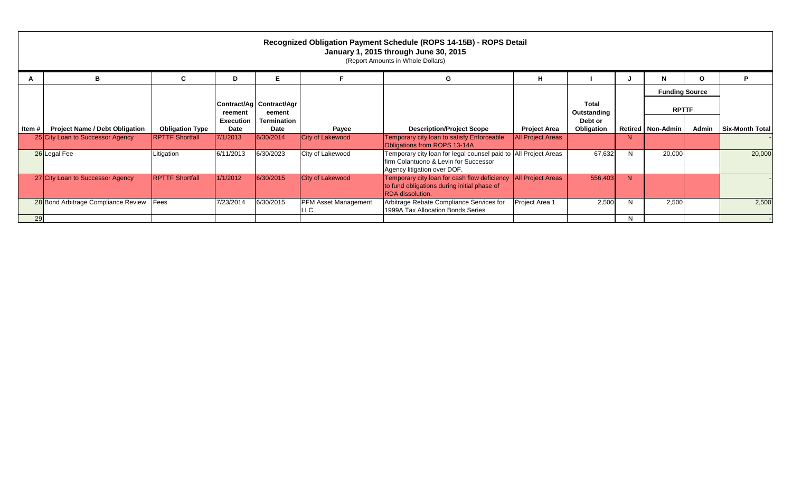| Recognized Obligation Payment Schedule (ROPS 14-15B) - ROPS Detail<br>January 1, 2015 through June 30, 2015<br>(Report Amounts in Whole Dollars) |                                       |                         |                          |                                    |                                            |                                                                                                                                         |                          |                       |              |                     |                       |                        |
|--------------------------------------------------------------------------------------------------------------------------------------------------|---------------------------------------|-------------------------|--------------------------|------------------------------------|--------------------------------------------|-----------------------------------------------------------------------------------------------------------------------------------------|--------------------------|-----------------------|--------------|---------------------|-----------------------|------------------------|
|                                                                                                                                                  | в                                     | C                       | D                        | Е                                  |                                            | G                                                                                                                                       | н                        |                       |              | N                   | $\mathbf{o}$          | P                      |
|                                                                                                                                                  |                                       |                         |                          |                                    |                                            |                                                                                                                                         |                          |                       |              |                     | <b>Funding Source</b> |                        |
|                                                                                                                                                  |                                       |                         | reement                  | Contract/Ag Contract/Agr<br>eement |                                            |                                                                                                                                         |                          | Total<br>Outstanding  |              | <b>RPTTF</b>        |                       |                        |
| ltem #                                                                                                                                           | <b>Project Name / Debt Obligation</b> | <b>Obligation Type</b>  | <b>Execution</b><br>Date | <b>Termination</b><br>Date         | Payee                                      | <b>Description/Project Scope</b>                                                                                                        | <b>Project Area</b>      | Debt or<br>Obligation |              | Retired   Non-Admin | Admin                 | <b>Six-Month Total</b> |
|                                                                                                                                                  | 25 City Loan to Successor Agency      | <b>RPTTF Shortfall</b>  | 7/1/2013                 | 6/30/2014                          | <b>City of Lakewood</b>                    | Temporary city loan to satisfy Enforceable<br>Obligations from ROPS 13-14A                                                              | <b>All Project Areas</b> |                       | N            |                     |                       |                        |
|                                                                                                                                                  | 26 Legal Fee                          | Litigation              | 6/11/2013                | 6/30/2023                          | City of Lakewood                           | Temporary city loan for legal counsel paid to All Project Areas<br>firm Colantuono & Levin for Successor<br>Agency litigation over DOF. |                          | 67,632                | N            | 20,000              |                       | 20,000                 |
|                                                                                                                                                  | 27 City Loan to Successor Agency      | <b>IRPTTF Shortfall</b> | 1/1/2012                 | 6/30/2015                          | City of Lakewood                           | Temporary city loan for cash flow deficiency<br>to fund obligations during initial phase of<br>RDA dissolution.                         | <b>All Project Areas</b> | 556,403               | <sup>N</sup> |                     |                       |                        |
|                                                                                                                                                  | 28 Bond Arbitrage Compliance Review   | Fees                    | 7/23/2014                | 6/30/2015                          | <b>PFM Asset Management</b><br><b>ILLC</b> | Arbitrage Rebate Compliance Services for<br>1999A Tax Allocation Bonds Series                                                           | Project Area 1           | 2,500                 | N            | 2,500               |                       | 2,500                  |
| 29                                                                                                                                               |                                       |                         |                          |                                    |                                            |                                                                                                                                         |                          |                       | N.           |                     |                       |                        |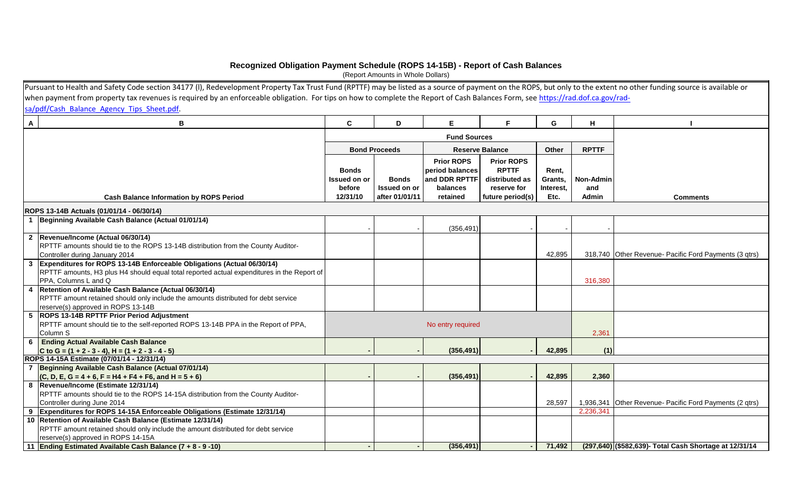## **Recognized Obligation Payment Schedule (ROPS 14-15B) - Report of Cash Balances**

(Report Amounts in Whole Dollars)

[Purs](https://rad.dof.ca.gov/rad-sa/pdf/Cash_Balance_Agency_Tips_Sheet.pdf)uant to Health and Safety Code section 34177 (I), Redevelopment Property Tax Trust Fund (RPTTF) may be listed as a source of payment on the ROPS, but only to the extent no other funding source is available or [when payment from property tax revenues is required by an enforceable obligation. For tips on how to complete the Report of Cash Balances Form, see](https://rad.dof.ca.gov/rad-sa/pdf/Cash_Balance_Agency_Tips_Sheet.pdf) https://rad.dof.ca.gov/rad[sa/pdf/Cash\\_Balance\\_Agency\\_Tips\\_Sheet.pdf.](https://rad.dof.ca.gov/rad-sa/pdf/Cash_Balance_Agency_Tips_Sheet.pdf)

| $\mathbf{A}$   | B                                                                                          | C                   | D                    | Е                   | Е                      | G         | н                |                                                         |
|----------------|--------------------------------------------------------------------------------------------|---------------------|----------------------|---------------------|------------------------|-----------|------------------|---------------------------------------------------------|
|                |                                                                                            |                     |                      | <b>Fund Sources</b> |                        |           |                  |                                                         |
|                |                                                                                            |                     |                      |                     |                        |           |                  |                                                         |
|                |                                                                                            |                     | <b>Bond Proceeds</b> |                     | <b>Reserve Balance</b> | Other     | <b>RPTTF</b>     |                                                         |
|                |                                                                                            |                     |                      | <b>Prior ROPS</b>   | <b>Prior ROPS</b>      |           |                  |                                                         |
|                |                                                                                            | <b>Bonds</b>        |                      | period balances     | <b>RPTTF</b>           | Rent,     |                  |                                                         |
|                |                                                                                            | <b>Issued on or</b> | <b>Bonds</b>         | and DDR RPTTF       | distributed as         | Grants,   | <b>Non-Admin</b> |                                                         |
|                |                                                                                            | before              | Issued on or         | balances            | reserve for            | Interest, | and              |                                                         |
|                | <b>Cash Balance Information by ROPS Period</b>                                             | 12/31/10            | after 01/01/11       | retained            | future period(s)       | Etc.      | Admin            | <b>Comments</b>                                         |
|                |                                                                                            |                     |                      |                     |                        |           |                  |                                                         |
|                | ROPS 13-14B Actuals (01/01/14 - 06/30/14)                                                  |                     |                      |                     |                        |           |                  |                                                         |
|                | 1 Beginning Available Cash Balance (Actual 01/01/14)                                       |                     |                      |                     |                        |           |                  |                                                         |
|                |                                                                                            |                     |                      | (356, 491)          |                        |           |                  |                                                         |
|                | 2 Revenue/Income (Actual 06/30/14)                                                         |                     |                      |                     |                        |           |                  |                                                         |
|                | RPTTF amounts should tie to the ROPS 13-14B distribution from the County Auditor-          |                     |                      |                     |                        |           |                  |                                                         |
|                | Controller during January 2014                                                             |                     |                      |                     |                        | 42,895    |                  | 318,740 Other Revenue- Pacific Ford Payments (3 qtrs)   |
| دی             | Expenditures for ROPS 13-14B Enforceable Obligations (Actual 06/30/14)                     |                     |                      |                     |                        |           |                  |                                                         |
|                | RPTTF amounts, H3 plus H4 should equal total reported actual expenditures in the Report of |                     |                      |                     |                        |           |                  |                                                         |
|                | PPA, Columns L and Q                                                                       |                     |                      |                     |                        |           | 316,380          |                                                         |
| $\overline{4}$ | Retention of Available Cash Balance (Actual 06/30/14)                                      |                     |                      |                     |                        |           |                  |                                                         |
|                | RPTTF amount retained should only include the amounts distributed for debt service         |                     |                      |                     |                        |           |                  |                                                         |
|                | reserve(s) approved in ROPS 13-14B<br>5 ROPS 13-14B RPTTF Prior Period Adjustment          |                     |                      |                     |                        |           |                  |                                                         |
|                | RPTTF amount should tie to the self-reported ROPS 13-14B PPA in the Report of PPA,         |                     |                      | No entry required   |                        |           |                  |                                                         |
|                | Column S                                                                                   |                     |                      |                     |                        |           | 2,361            |                                                         |
| 6              | <b>Ending Actual Available Cash Balance</b>                                                |                     |                      |                     |                        |           |                  |                                                         |
|                | C to G = $(1 + 2 - 3 - 4)$ , H = $(1 + 2 - 3 - 4 - 5)$                                     |                     |                      | (356, 491)          |                        | 42,895    | (1)              |                                                         |
|                | ROPS 14-15A Estimate (07/01/14 - 12/31/14)                                                 |                     |                      |                     |                        |           |                  |                                                         |
| $\overline{7}$ | Beginning Available Cash Balance (Actual 07/01/14)                                         |                     |                      |                     |                        |           |                  |                                                         |
|                | $(C, D, E, G = 4 + 6, F = H4 + F4 + F6,$ and $H = 5 + 6$                                   |                     |                      | (356, 491)          |                        | 42,895    | 2,360            |                                                         |
|                | 8 Revenue/Income (Estimate 12/31/14)                                                       |                     |                      |                     |                        |           |                  |                                                         |
|                | RPTTF amounts should tie to the ROPS 14-15A distribution from the County Auditor-          |                     |                      |                     |                        |           |                  |                                                         |
|                | Controller during June 2014                                                                |                     |                      |                     |                        | 28,597    |                  | 1,936,341 Other Revenue- Pacific Ford Payments (2 qtrs) |
| 9              | Expenditures for ROPS 14-15A Enforceable Obligations (Estimate 12/31/14)                   |                     |                      |                     |                        |           | 2,236,341        |                                                         |
|                | 10 Retention of Available Cash Balance (Estimate 12/31/14)                                 |                     |                      |                     |                        |           |                  |                                                         |
|                | RPTTF amount retained should only include the amount distributed for debt service          |                     |                      |                     |                        |           |                  |                                                         |
|                | reserve(s) approved in ROPS 14-15A                                                         |                     |                      |                     |                        |           |                  |                                                         |
|                | 11 Ending Estimated Available Cash Balance (7 + 8 - 9 -10)                                 |                     |                      | (356, 491)          |                        | 71,492    |                  | (297,640) (\$582,639) - Total Cash Shortage at 12/31/14 |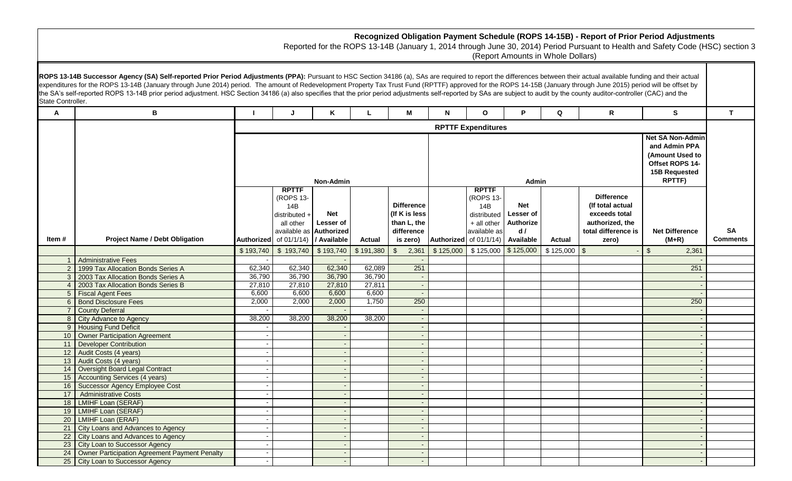| В<br>M<br>K<br>N<br>P<br>Q<br>R<br>A<br>$\mathbf{o}$<br><b>RPTTF Expenditures</b><br>Non-Admin<br>Admin<br><b>RPTTF</b><br><b>RPTTF</b><br><b>Difference</b><br>(ROPS 13-<br>(ROPS 13-<br><b>Difference</b><br><b>Net</b><br>(If total actual<br>14B<br>14B<br><b>Net</b><br>(If K is less<br>exceeds total<br>distributed +<br>distributed<br>Lesser of<br>than L, the<br>all other<br>+ all other<br>Authorize<br>authorized, the<br>Lesser of<br>available as<br>available as Authorized<br>difference<br>d /<br>total difference is<br><b>Project Name / Debt Obligation</b><br>Authorized of 01/1/14)<br>/ Available<br>Authorized of 01/1/14)<br>Item #<br>Available<br><b>Actual</b><br><b>Actual</b><br>is zero)<br>zero)<br>\$125,000<br>\$125,000<br>\$193,740<br>\$193,740<br>\$193,740<br>\$191,380<br>$\mathfrak{L}$<br>2,361<br>\$125,000<br>$$125,000$ \ \$<br>$\mathfrak{L}$<br><b>Administrative Fees</b><br>62,340<br>62,089<br>251<br>62,340<br>62,340<br>2   1999 Tax Allocation Bonds Series A<br>36,790<br>36,790<br>36,790<br>36,790<br>3 2003 Tax Allocation Bonds Series A<br>27,811<br>27,810<br>27,810<br>27,810<br>2003 Tax Allocation Bonds Series B<br>6,600<br>6,600<br>6,600<br>6,600<br>5 Fiscal Agent Fees<br>$\sim$<br>6 Bond Disclosure Fees<br>2,000<br>2,000<br>2,000<br>1,750<br>250<br><b>County Deferral</b><br>38,200<br>38,200<br>38,200<br>38,200<br>8 City Advance to Agency<br>9   Housing Fund Deficit<br>10 Owner Participation Agreement<br>11 Developer Contribution<br>12 Audit Costs (4 years)<br>13 Audit Costs (4 years)<br>14   Oversight Board Legal Contract<br>15 Accounting Services (4 years)<br>16   Successor Agency Employee Cost<br>17 Administrative Costs<br>18   LMIHF Loan (SERAF)<br>19   LMIHF Loan (SERAF)<br>20   LMIHF Loan (ERAF) | Recognized Obligation Payment Schedule (ROPS 14-15B) - Report of Prior Period Adjustments<br>Reported for the ROPS 13-14B (January 1, 2014 through June 30, 2014) Period Pursuant to Health and Safety Code (HSC) section 3                                                                                                                                                                                                                                                                                                                                                                                                                                                                     |                              |  |  |  |  |  |  |  |  |
|-------------------------------------------------------------------------------------------------------------------------------------------------------------------------------------------------------------------------------------------------------------------------------------------------------------------------------------------------------------------------------------------------------------------------------------------------------------------------------------------------------------------------------------------------------------------------------------------------------------------------------------------------------------------------------------------------------------------------------------------------------------------------------------------------------------------------------------------------------------------------------------------------------------------------------------------------------------------------------------------------------------------------------------------------------------------------------------------------------------------------------------------------------------------------------------------------------------------------------------------------------------------------------------------------------------------------------------------------------------------------------------------------------------------------------------------------------------------------------------------------------------------------------------------------------------------------------------------------------------------------------------------------------------------------------------------------------------------------------------------------------------------------------------------------------------|-------------------------------------------------------------------------------------------------------------------------------------------------------------------------------------------------------------------------------------------------------------------------------------------------------------------------------------------------------------------------------------------------------------------------------------------------------------------------------------------------------------------------------------------------------------------------------------------------------------------------------------------------------------------------------------------------|------------------------------|--|--|--|--|--|--|--|--|
|                                                                                                                                                                                                                                                                                                                                                                                                                                                                                                                                                                                                                                                                                                                                                                                                                                                                                                                                                                                                                                                                                                                                                                                                                                                                                                                                                                                                                                                                                                                                                                                                                                                                                                                                                                                                             | ROPS 13-14B Successor Agency (SA) Self-reported Prior Period Adjustments (PPA): Pursuant to HSC Section 34186 (a), SAs are required to report the differences between their actual available funding and their actual<br>expenditures for the ROPS 13-14B (January through June 2014) period. The amount of Redevelopment Property Tax Trust Fund (RPTTF) approved for the ROPS 14-15B (January through June 2015) period will be offset by<br>the SA's self-reported ROPS 13-14B prior period adjustment. HSC Section 34186 (a) also specifies that the prior period adjustments self-reported by SAs are subject to audit by the county auditor-controller (CAC) and the<br>State Controller. |                              |  |  |  |  |  |  |  |  |
|                                                                                                                                                                                                                                                                                                                                                                                                                                                                                                                                                                                                                                                                                                                                                                                                                                                                                                                                                                                                                                                                                                                                                                                                                                                                                                                                                                                                                                                                                                                                                                                                                                                                                                                                                                                                             | S.                                                                                                                                                                                                                                                                                                                                                                                                                                                                                                                                                                                                                                                                                              | $\mathbf{T}$                 |  |  |  |  |  |  |  |  |
|                                                                                                                                                                                                                                                                                                                                                                                                                                                                                                                                                                                                                                                                                                                                                                                                                                                                                                                                                                                                                                                                                                                                                                                                                                                                                                                                                                                                                                                                                                                                                                                                                                                                                                                                                                                                             |                                                                                                                                                                                                                                                                                                                                                                                                                                                                                                                                                                                                                                                                                                 |                              |  |  |  |  |  |  |  |  |
|                                                                                                                                                                                                                                                                                                                                                                                                                                                                                                                                                                                                                                                                                                                                                                                                                                                                                                                                                                                                                                                                                                                                                                                                                                                                                                                                                                                                                                                                                                                                                                                                                                                                                                                                                                                                             | <b>Net SA Non-Admin</b><br>and Admin PPA<br>(Amount Used to<br>Offset ROPS 14-<br><b>15B Requested</b><br>RPTTF)                                                                                                                                                                                                                                                                                                                                                                                                                                                                                                                                                                                |                              |  |  |  |  |  |  |  |  |
|                                                                                                                                                                                                                                                                                                                                                                                                                                                                                                                                                                                                                                                                                                                                                                                                                                                                                                                                                                                                                                                                                                                                                                                                                                                                                                                                                                                                                                                                                                                                                                                                                                                                                                                                                                                                             | <b>Net Difference</b><br>$(M+R)$                                                                                                                                                                                                                                                                                                                                                                                                                                                                                                                                                                                                                                                                | <b>SA</b><br><b>Comments</b> |  |  |  |  |  |  |  |  |
|                                                                                                                                                                                                                                                                                                                                                                                                                                                                                                                                                                                                                                                                                                                                                                                                                                                                                                                                                                                                                                                                                                                                                                                                                                                                                                                                                                                                                                                                                                                                                                                                                                                                                                                                                                                                             | 2,361                                                                                                                                                                                                                                                                                                                                                                                                                                                                                                                                                                                                                                                                                           |                              |  |  |  |  |  |  |  |  |
|                                                                                                                                                                                                                                                                                                                                                                                                                                                                                                                                                                                                                                                                                                                                                                                                                                                                                                                                                                                                                                                                                                                                                                                                                                                                                                                                                                                                                                                                                                                                                                                                                                                                                                                                                                                                             |                                                                                                                                                                                                                                                                                                                                                                                                                                                                                                                                                                                                                                                                                                 |                              |  |  |  |  |  |  |  |  |
|                                                                                                                                                                                                                                                                                                                                                                                                                                                                                                                                                                                                                                                                                                                                                                                                                                                                                                                                                                                                                                                                                                                                                                                                                                                                                                                                                                                                                                                                                                                                                                                                                                                                                                                                                                                                             | 251                                                                                                                                                                                                                                                                                                                                                                                                                                                                                                                                                                                                                                                                                             |                              |  |  |  |  |  |  |  |  |
|                                                                                                                                                                                                                                                                                                                                                                                                                                                                                                                                                                                                                                                                                                                                                                                                                                                                                                                                                                                                                                                                                                                                                                                                                                                                                                                                                                                                                                                                                                                                                                                                                                                                                                                                                                                                             |                                                                                                                                                                                                                                                                                                                                                                                                                                                                                                                                                                                                                                                                                                 |                              |  |  |  |  |  |  |  |  |
|                                                                                                                                                                                                                                                                                                                                                                                                                                                                                                                                                                                                                                                                                                                                                                                                                                                                                                                                                                                                                                                                                                                                                                                                                                                                                                                                                                                                                                                                                                                                                                                                                                                                                                                                                                                                             |                                                                                                                                                                                                                                                                                                                                                                                                                                                                                                                                                                                                                                                                                                 |                              |  |  |  |  |  |  |  |  |
|                                                                                                                                                                                                                                                                                                                                                                                                                                                                                                                                                                                                                                                                                                                                                                                                                                                                                                                                                                                                                                                                                                                                                                                                                                                                                                                                                                                                                                                                                                                                                                                                                                                                                                                                                                                                             |                                                                                                                                                                                                                                                                                                                                                                                                                                                                                                                                                                                                                                                                                                 |                              |  |  |  |  |  |  |  |  |
|                                                                                                                                                                                                                                                                                                                                                                                                                                                                                                                                                                                                                                                                                                                                                                                                                                                                                                                                                                                                                                                                                                                                                                                                                                                                                                                                                                                                                                                                                                                                                                                                                                                                                                                                                                                                             | 250                                                                                                                                                                                                                                                                                                                                                                                                                                                                                                                                                                                                                                                                                             |                              |  |  |  |  |  |  |  |  |
|                                                                                                                                                                                                                                                                                                                                                                                                                                                                                                                                                                                                                                                                                                                                                                                                                                                                                                                                                                                                                                                                                                                                                                                                                                                                                                                                                                                                                                                                                                                                                                                                                                                                                                                                                                                                             |                                                                                                                                                                                                                                                                                                                                                                                                                                                                                                                                                                                                                                                                                                 |                              |  |  |  |  |  |  |  |  |
|                                                                                                                                                                                                                                                                                                                                                                                                                                                                                                                                                                                                                                                                                                                                                                                                                                                                                                                                                                                                                                                                                                                                                                                                                                                                                                                                                                                                                                                                                                                                                                                                                                                                                                                                                                                                             |                                                                                                                                                                                                                                                                                                                                                                                                                                                                                                                                                                                                                                                                                                 |                              |  |  |  |  |  |  |  |  |
|                                                                                                                                                                                                                                                                                                                                                                                                                                                                                                                                                                                                                                                                                                                                                                                                                                                                                                                                                                                                                                                                                                                                                                                                                                                                                                                                                                                                                                                                                                                                                                                                                                                                                                                                                                                                             |                                                                                                                                                                                                                                                                                                                                                                                                                                                                                                                                                                                                                                                                                                 |                              |  |  |  |  |  |  |  |  |
|                                                                                                                                                                                                                                                                                                                                                                                                                                                                                                                                                                                                                                                                                                                                                                                                                                                                                                                                                                                                                                                                                                                                                                                                                                                                                                                                                                                                                                                                                                                                                                                                                                                                                                                                                                                                             |                                                                                                                                                                                                                                                                                                                                                                                                                                                                                                                                                                                                                                                                                                 |                              |  |  |  |  |  |  |  |  |
|                                                                                                                                                                                                                                                                                                                                                                                                                                                                                                                                                                                                                                                                                                                                                                                                                                                                                                                                                                                                                                                                                                                                                                                                                                                                                                                                                                                                                                                                                                                                                                                                                                                                                                                                                                                                             |                                                                                                                                                                                                                                                                                                                                                                                                                                                                                                                                                                                                                                                                                                 |                              |  |  |  |  |  |  |  |  |
|                                                                                                                                                                                                                                                                                                                                                                                                                                                                                                                                                                                                                                                                                                                                                                                                                                                                                                                                                                                                                                                                                                                                                                                                                                                                                                                                                                                                                                                                                                                                                                                                                                                                                                                                                                                                             |                                                                                                                                                                                                                                                                                                                                                                                                                                                                                                                                                                                                                                                                                                 |                              |  |  |  |  |  |  |  |  |
|                                                                                                                                                                                                                                                                                                                                                                                                                                                                                                                                                                                                                                                                                                                                                                                                                                                                                                                                                                                                                                                                                                                                                                                                                                                                                                                                                                                                                                                                                                                                                                                                                                                                                                                                                                                                             |                                                                                                                                                                                                                                                                                                                                                                                                                                                                                                                                                                                                                                                                                                 |                              |  |  |  |  |  |  |  |  |
|                                                                                                                                                                                                                                                                                                                                                                                                                                                                                                                                                                                                                                                                                                                                                                                                                                                                                                                                                                                                                                                                                                                                                                                                                                                                                                                                                                                                                                                                                                                                                                                                                                                                                                                                                                                                             |                                                                                                                                                                                                                                                                                                                                                                                                                                                                                                                                                                                                                                                                                                 |                              |  |  |  |  |  |  |  |  |
|                                                                                                                                                                                                                                                                                                                                                                                                                                                                                                                                                                                                                                                                                                                                                                                                                                                                                                                                                                                                                                                                                                                                                                                                                                                                                                                                                                                                                                                                                                                                                                                                                                                                                                                                                                                                             |                                                                                                                                                                                                                                                                                                                                                                                                                                                                                                                                                                                                                                                                                                 |                              |  |  |  |  |  |  |  |  |
|                                                                                                                                                                                                                                                                                                                                                                                                                                                                                                                                                                                                                                                                                                                                                                                                                                                                                                                                                                                                                                                                                                                                                                                                                                                                                                                                                                                                                                                                                                                                                                                                                                                                                                                                                                                                             |                                                                                                                                                                                                                                                                                                                                                                                                                                                                                                                                                                                                                                                                                                 |                              |  |  |  |  |  |  |  |  |
|                                                                                                                                                                                                                                                                                                                                                                                                                                                                                                                                                                                                                                                                                                                                                                                                                                                                                                                                                                                                                                                                                                                                                                                                                                                                                                                                                                                                                                                                                                                                                                                                                                                                                                                                                                                                             |                                                                                                                                                                                                                                                                                                                                                                                                                                                                                                                                                                                                                                                                                                 |                              |  |  |  |  |  |  |  |  |
|                                                                                                                                                                                                                                                                                                                                                                                                                                                                                                                                                                                                                                                                                                                                                                                                                                                                                                                                                                                                                                                                                                                                                                                                                                                                                                                                                                                                                                                                                                                                                                                                                                                                                                                                                                                                             |                                                                                                                                                                                                                                                                                                                                                                                                                                                                                                                                                                                                                                                                                                 |                              |  |  |  |  |  |  |  |  |
|                                                                                                                                                                                                                                                                                                                                                                                                                                                                                                                                                                                                                                                                                                                                                                                                                                                                                                                                                                                                                                                                                                                                                                                                                                                                                                                                                                                                                                                                                                                                                                                                                                                                                                                                                                                                             |                                                                                                                                                                                                                                                                                                                                                                                                                                                                                                                                                                                                                                                                                                 |                              |  |  |  |  |  |  |  |  |
|                                                                                                                                                                                                                                                                                                                                                                                                                                                                                                                                                                                                                                                                                                                                                                                                                                                                                                                                                                                                                                                                                                                                                                                                                                                                                                                                                                                                                                                                                                                                                                                                                                                                                                                                                                                                             |                                                                                                                                                                                                                                                                                                                                                                                                                                                                                                                                                                                                                                                                                                 |                              |  |  |  |  |  |  |  |  |
| 21 City Loans and Advances to Agency                                                                                                                                                                                                                                                                                                                                                                                                                                                                                                                                                                                                                                                                                                                                                                                                                                                                                                                                                                                                                                                                                                                                                                                                                                                                                                                                                                                                                                                                                                                                                                                                                                                                                                                                                                        |                                                                                                                                                                                                                                                                                                                                                                                                                                                                                                                                                                                                                                                                                                 |                              |  |  |  |  |  |  |  |  |
| 22 City Loans and Advances to Agency                                                                                                                                                                                                                                                                                                                                                                                                                                                                                                                                                                                                                                                                                                                                                                                                                                                                                                                                                                                                                                                                                                                                                                                                                                                                                                                                                                                                                                                                                                                                                                                                                                                                                                                                                                        |                                                                                                                                                                                                                                                                                                                                                                                                                                                                                                                                                                                                                                                                                                 |                              |  |  |  |  |  |  |  |  |
| 23 City Loan to Successor Agency                                                                                                                                                                                                                                                                                                                                                                                                                                                                                                                                                                                                                                                                                                                                                                                                                                                                                                                                                                                                                                                                                                                                                                                                                                                                                                                                                                                                                                                                                                                                                                                                                                                                                                                                                                            |                                                                                                                                                                                                                                                                                                                                                                                                                                                                                                                                                                                                                                                                                                 |                              |  |  |  |  |  |  |  |  |
| 24 Owner Participation Agreement Payment Penalty<br>25 City Loan to Successor Agency                                                                                                                                                                                                                                                                                                                                                                                                                                                                                                                                                                                                                                                                                                                                                                                                                                                                                                                                                                                                                                                                                                                                                                                                                                                                                                                                                                                                                                                                                                                                                                                                                                                                                                                        |                                                                                                                                                                                                                                                                                                                                                                                                                                                                                                                                                                                                                                                                                                 |                              |  |  |  |  |  |  |  |  |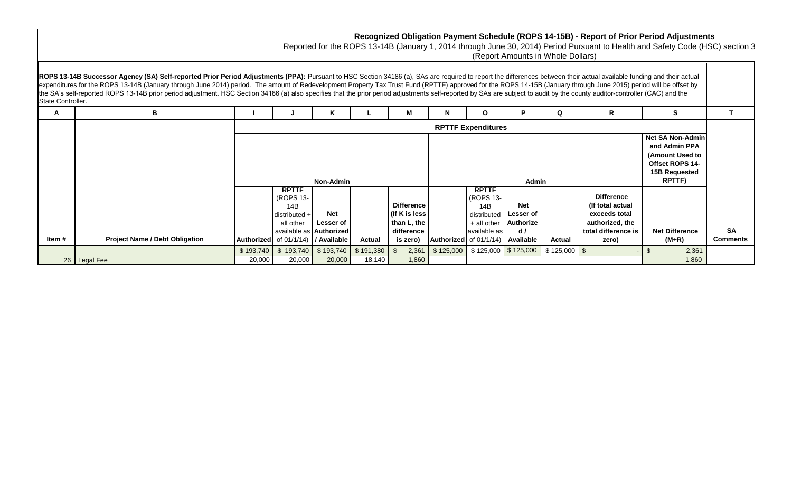|                   |                                                                                                                                                                                                                                                                                                                                                                                                                                                                                                                                                                                                                                                                            |           |                                                   |                                             |                            |                                     |                                                                                      |                                                 |                         | (Report Amounts in Whole Dollars) |                                                        | Recognized Obligation Payment Schedule (ROPS 14-15B) - Report of Prior Period Adjustments<br>Reported for the ROPS 13-14B (January 1, 2014 through June 30, 2014) Period Pursuant to Health and Safety Code (HSC) section 3 |                 |
|-------------------|----------------------------------------------------------------------------------------------------------------------------------------------------------------------------------------------------------------------------------------------------------------------------------------------------------------------------------------------------------------------------------------------------------------------------------------------------------------------------------------------------------------------------------------------------------------------------------------------------------------------------------------------------------------------------|-----------|---------------------------------------------------|---------------------------------------------|----------------------------|-------------------------------------|--------------------------------------------------------------------------------------|-------------------------------------------------|-------------------------|-----------------------------------|--------------------------------------------------------|-----------------------------------------------------------------------------------------------------------------------------------------------------------------------------------------------------------------------------|-----------------|
| State Controller. | ROPS 13-14B Successor Agency (SA) Self-reported Prior Period Adjustments (PPA): Pursuant to HSC Section 34186 (a), SAs are required to report the differences between their actual available funding and their actual<br>expenditures for the ROPS 13-14B (January through June 2014) period. The amount of Redevelopment Property Tax Trust Fund (RPTTF) approved for the ROPS 14-15B (January through June 2015) period will be offset by<br>the SA's self-reported ROPS 13-14B prior period adjustment. HSC Section 34186 (a) also specifies that the prior period adjustments self-reported by SAs are subject to audit by the county auditor-controller (CAC) and the |           |                                                   |                                             |                            |                                     |                                                                                      |                                                 |                         |                                   |                                                        |                                                                                                                                                                                                                             |                 |
| A                 |                                                                                                                                                                                                                                                                                                                                                                                                                                                                                                                                                                                                                                                                            |           |                                                   |                                             |                            | М                                   |                                                                                      |                                                 |                         | Q                                 | R                                                      | S.                                                                                                                                                                                                                          |                 |
|                   |                                                                                                                                                                                                                                                                                                                                                                                                                                                                                                                                                                                                                                                                            |           |                                                   |                                             |                            |                                     |                                                                                      | <b>RPTTF Expenditures</b>                       |                         |                                   |                                                        |                                                                                                                                                                                                                             |                 |
|                   |                                                                                                                                                                                                                                                                                                                                                                                                                                                                                                                                                                                                                                                                            |           |                                                   | <b>Non-Admin</b>                            |                            |                                     | and Admin PPA<br>(Amount Used to<br>Offset ROPS 14-<br><b>15B Requested</b><br>Admin |                                                 |                         |                                   | <b>Net SA Non-Admin</b><br><b>RPTTF)</b>               |                                                                                                                                                                                                                             |                 |
|                   |                                                                                                                                                                                                                                                                                                                                                                                                                                                                                                                                                                                                                                                                            |           | <b>RPTTF</b><br>(ROPS 13-<br>14B<br>distributed + | <b>Net</b>                                  |                            | <b>Difference</b><br>(If K is less) |                                                                                      | <b>RPTTF</b><br>(ROPS 13-<br>14B<br>distributed | <b>Net</b><br>Lesser of |                                   | <b>Difference</b><br>(If total actual<br>exceeds total |                                                                                                                                                                                                                             |                 |
| Item #            |                                                                                                                                                                                                                                                                                                                                                                                                                                                                                                                                                                                                                                                                            |           | all other                                         | Lesser of<br>available as <b>Authorized</b> |                            | than L, the<br>difference           |                                                                                      | + all other<br>available as                     | Authorize<br>d/         |                                   | authorized, the<br>total difference is                 | <b>Net Difference</b>                                                                                                                                                                                                       | <b>SA</b>       |
|                   | <b>Project Name / Debt Obligation</b>                                                                                                                                                                                                                                                                                                                                                                                                                                                                                                                                                                                                                                      | \$193,740 | Authorized of 01/1/14) / Available<br>\$193,740   | \$193,740                                   | <b>Actual</b><br>\$191,380 | is zero)<br>2,361                   | \$125,000                                                                            | Authorized of $01/1/14$<br>\$125,000            | Available<br>\$125,000  | Actual<br>$$125,000$ \ \$         | zero)                                                  | $(M+R)$<br>2,361                                                                                                                                                                                                            | <b>Comments</b> |
|                   | 26   Legal Fee                                                                                                                                                                                                                                                                                                                                                                                                                                                                                                                                                                                                                                                             | 20,000    | 20,000                                            | 20,000                                      | 18,140                     | 1,860                               |                                                                                      |                                                 |                         |                                   |                                                        | 1,860                                                                                                                                                                                                                       |                 |